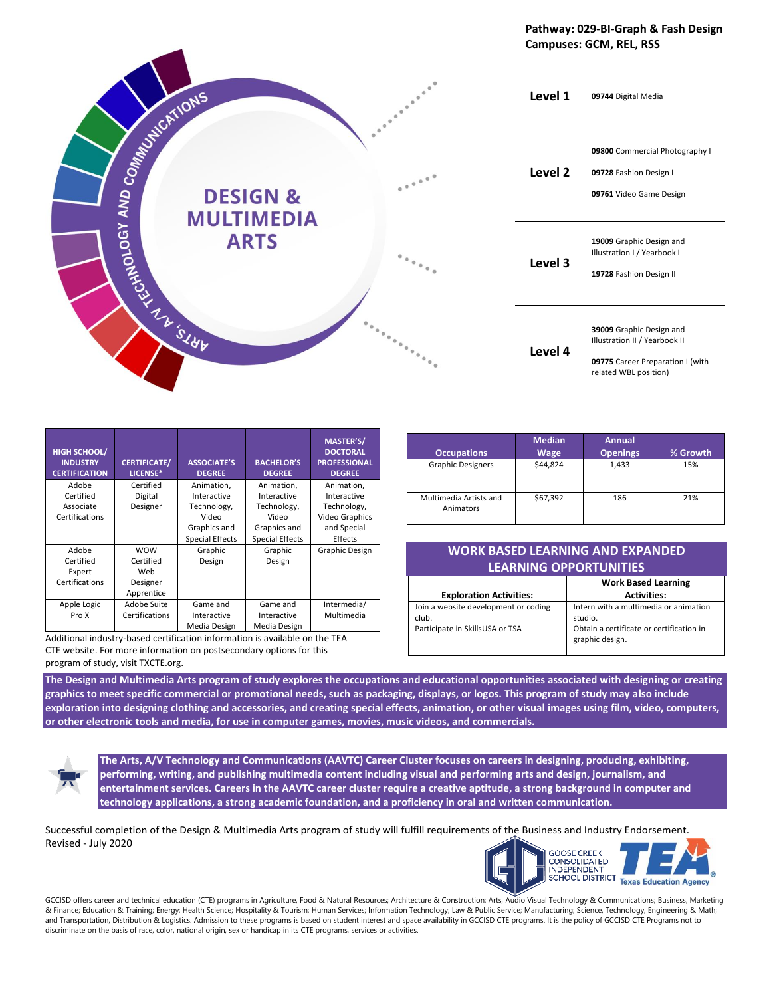#### **Pathway: 029-BI-Graph & Fash Design Campuses: GCM, REL, RSS**



| <b>HIGH SCHOOL/</b><br><b>INDUSTRY</b><br><b>CERTIFICATION</b> | <b>CERTIFICATE/</b><br>LICENSE*                          | <b>ASSOCIATE'S</b><br><b>DEGREE</b>             | <b>BACHELOR'S</b><br><b>DEGREE</b>              | <b>MASTER'S/</b><br><b>DOCTORAL</b><br><b>PROFESSIONAL</b><br><b>DEGREE</b> |
|----------------------------------------------------------------|----------------------------------------------------------|-------------------------------------------------|-------------------------------------------------|-----------------------------------------------------------------------------|
| Adobe<br>Certified<br>Associate                                | Certified<br>Digital<br>Designer                         | Animation,<br>Interactive<br>Technology,        | Animation,<br>Interactive<br>Technology,        | Animation,<br>Interactive<br>Technology,                                    |
| Certifications                                                 |                                                          | Video<br>Graphics and<br><b>Special Effects</b> | Video<br>Graphics and<br><b>Special Effects</b> | <b>Video Graphics</b><br>and Special<br>Effects                             |
| Adobe<br>Certified<br>Expert<br>Certifications                 | <b>WOW</b><br>Certified<br>Web<br>Designer<br>Apprentice | Graphic<br>Design                               | Graphic<br>Design                               | Graphic Design                                                              |
| Apple Logic<br>Pro X                                           | Adobe Suite<br>Certifications                            | Game and<br>Interactive<br>Media Design         | Game and<br>Interactive<br>Media Design         | Intermedia/<br>Multimedia                                                   |

Additional industry-based certification information is available on the TEA CTE website. For more information on postsecondary options for this program of study, visit TXCTE.org.

| <b>Occupations</b>                  | <b>Median</b><br><b>Wage</b> | <b>Annual</b><br><b>Openings</b> | % Growth |
|-------------------------------------|------------------------------|----------------------------------|----------|
| <b>Graphic Designers</b>            | \$44,824                     | 1,433                            | 15%      |
| Multimedia Artists and<br>Animators | \$67,392                     | 186                              | 21%      |

| WORK BASED LEARNING AND EXPANDED' |
|-----------------------------------|
| <b>LEARNING OPPORTUNITIES</b>     |

|                                                                                  | <b>Work Based Learning</b>                                                                                      |
|----------------------------------------------------------------------------------|-----------------------------------------------------------------------------------------------------------------|
| <b>Exploration Activities:</b>                                                   | <b>Activities:</b>                                                                                              |
| Join a website development or coding<br>club.<br>Participate in SkillsUSA or TSA | Intern with a multimedia or animation<br>studio.<br>Obtain a certificate or certification in<br>graphic design. |

**The Design and Multimedia Arts program of study explores the occupations and educational opportunities associated with designing or creating graphics to meet specific commercial or promotional needs, such as packaging, displays, or logos. This program of study may also include exploration into designing clothing and accessories, and creating special effects, animation, or other visual images using film, video, computers, or other electronic tools and media, for use in computer games, movies, music videos, and commercials.**



**The Arts, A/V Technology and Communications (AAVTC) Career Cluster focuses on careers in designing, producing, exhibiting, performing, writing, and publishing multimedia content including visual and performing arts and design, journalism, and entertainment services. Careers in the AAVTC career cluster require a creative aptitude, a strong background in computer and technology applications, a strong academic foundation, and a proficiency in oral and written communication.**

Successful completion of the Design & Multimedia Arts program of study will fulfill requirements of the Business and Industry Endorsement. Revised - July 2020



GCCISD offers career and technical education (CTE) programs in Agriculture, Food & Natural Resources; Architecture & Construction; Arts, Audio Visual Technology & Communications; Business, Marketing & Finance; Education & Training; Energy; Health Science; Hospitality & Tourism; Human Services; Information Technology; Law & Public Service; Manufacturing; Science, Technology, Engineering & Math; and Transportation, Distribution & Logistics. Admission to these programs is based on student interest and space availability in GCCISD CTE programs. It is the policy of GCCISD CTE Programs not to discriminate on the basis of race, color, national origin, sex or handicap in its CTE programs, services or activities.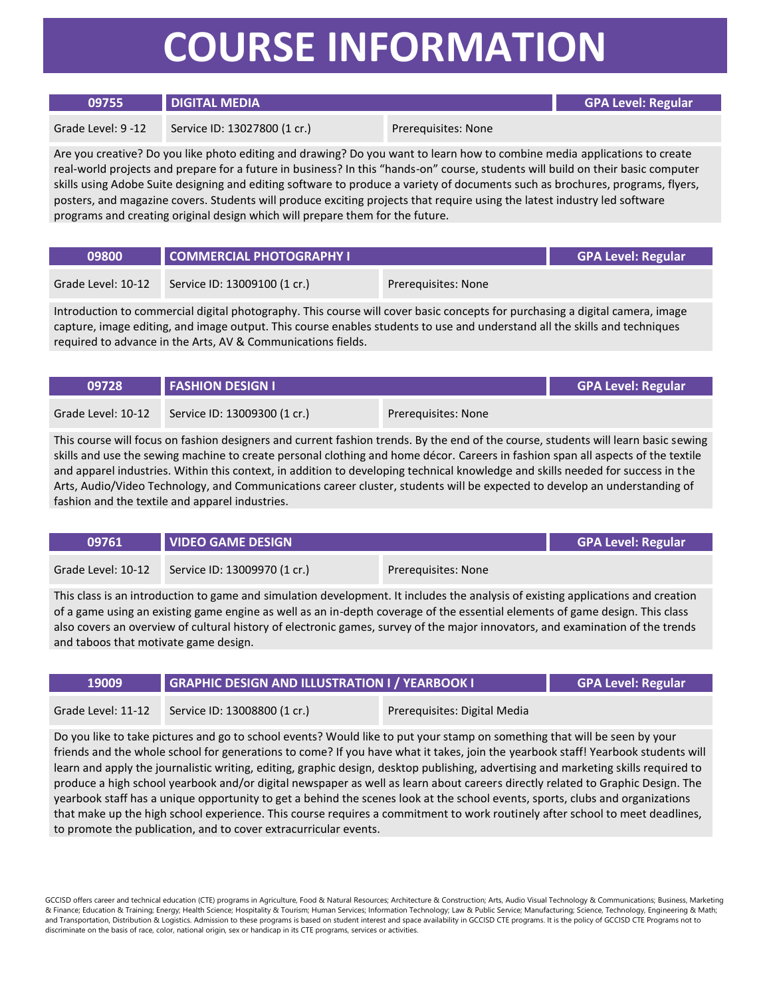## **COURSE INFORMATION**

| 09755              | <b>DIGITAL MEDIA</b>         |                     | <b>GPA Level: Regular</b> |
|--------------------|------------------------------|---------------------|---------------------------|
| Grade Level: 9 -12 | Service ID: 13027800 (1 cr.) | Prereguisites: None |                           |

Are you creative? Do you like photo editing and drawing? Do you want to learn how to combine media applications to create real-world projects and prepare for a future in business? In this "hands-on" course, students will build on their basic computer skills using Adobe Suite designing and editing software to produce a variety of documents such as brochures, programs, flyers, posters, and magazine covers. Students will produce exciting projects that require using the latest industry led software programs and creating original design which will prepare them for the future.

| 09800              | COMMERCIAL PHOTOGRAPHY I     |                     | <b>GPA Level: Regular</b> |
|--------------------|------------------------------|---------------------|---------------------------|
| Grade Level: 10-12 | Service ID: 13009100 (1 cr.) | Prereguisites: None |                           |

Introduction to commercial digital photography. This course will cover basic concepts for purchasing a digital camera, image capture, image editing, and image output. This course enables students to use and understand all the skills and techniques required to advance in the Arts, AV & Communications fields.

| 09728              | <b>FASHION DESIGN I</b>      |                     | <b>GPA Level: Regular</b> |
|--------------------|------------------------------|---------------------|---------------------------|
| Grade Level: 10-12 | Service ID: 13009300 (1 cr.) | Prerequisites: None |                           |

This course will focus on fashion designers and current fashion trends. By the end of the course, students will learn basic sewing skills and use the sewing machine to create personal clothing and home décor. Careers in fashion span all aspects of the textile and apparel industries. Within this context, in addition to developing technical knowledge and skills needed for success in the Arts, Audio/Video Technology, and Communications career cluster, students will be expected to develop an understanding of fashion and the textile and apparel industries.

| 09761              | <b>VIDEO GAME DESIGN</b>     |                     | <b>GPA Level: Regular</b> |
|--------------------|------------------------------|---------------------|---------------------------|
| Grade Level: 10-12 | Service ID: 13009970 (1 cr.) | Prerequisites: None |                           |

This class is an introduction to game and simulation development. It includes the analysis of existing applications and creation of a game using an existing game engine as well as an in-depth coverage of the essential elements of game design. This class also covers an overview of cultural history of electronic games, survey of the major innovators, and examination of the trends and taboos that motivate game design.

| Grade Level: 11-12<br>Service ID: 13008800 (1 cr.)<br>Prereguisites: Digital Media | 19009 | <b>GRAPHIC DESIGN AND ILLUSTRATION I / YEARBOOK I</b> |  | <b>GPA Level: Regular</b> |
|------------------------------------------------------------------------------------|-------|-------------------------------------------------------|--|---------------------------|
|                                                                                    |       |                                                       |  |                           |

Do you like to take pictures and go to school events? Would like to put your stamp on something that will be seen by your friends and the whole school for generations to come? If you have what it takes, join the yearbook staff! Yearbook students will learn and apply the journalistic writing, editing, graphic design, desktop publishing, advertising and marketing skills required to produce a high school yearbook and/or digital newspaper as well as learn about careers directly related to Graphic Design. The yearbook staff has a unique opportunity to get a behind the scenes look at the school events, sports, clubs and organizations that make up the high school experience. This course requires a commitment to work routinely after school to meet deadlines, to promote the publication, and to cover extracurricular events.

GCCISD offers career and technical education (CTE) programs in Agriculture, Food & Natural Resources; Architecture & Construction; Arts, Audio Visual Technology & Communications; Business, Marketing & Finance; Education & Training; Energy; Health Science; Hospitality & Tourism; Human Services; Information Technology; Law & Public Service; Manufacturing; Science, Technology, Engineering & Math; and Transportation, Distribution & Logistics. Admission to these programs is based on student interest and space availability in GCCISD CTE programs. It is the policy of GCCISD CTE Programs not to discriminate on the basis of race, color, national origin, sex or handicap in its CTE programs, services or activities.